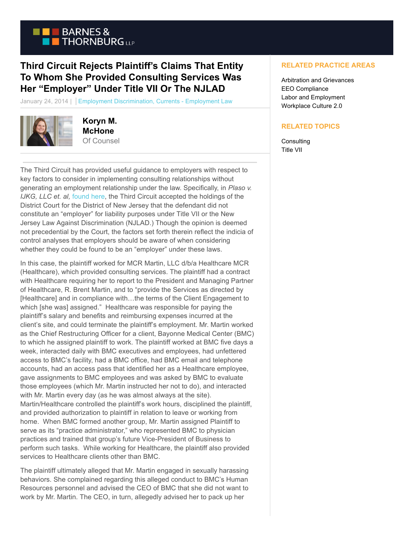

## **Third Circuit Rejects Plaintiff's Claims That Entity To Whom She Provided Consulting Services Was Her "Employer" Under Title VII Or The NJLAD**

January 24, 2014 | Employment Discrimination, Currents - Employment Law



**Koryn M. McHone** Of Counsel

The Third Circuit has provided useful guidance to employers with respect to key factors to consider in implementing consulting relationships without generating an employment relationship under the law. Specifically, in *Plaso v. IJKG, LLC et. al,* [found here,](http://articles.law360.s3.amazonaws.com/0502000/502834/BMC.pdf) the Third Circuit accepted the holdings of the District Court for the District of New Jersey that the defendant did not constitute an "employer" for liability purposes under Title VII or the New Jersey Law Against Discrimination (NJLAD.) Though the opinion is deemed not precedential by the Court, the factors set forth therein reflect the indicia of control analyses that employers should be aware of when considering whether they could be found to be an "employer" under these laws.

In this case, the plaintiff worked for MCR Martin, LLC d/b/a Healthcare MCR (Healthcare), which provided consulting services. The plaintiff had a contract with Healthcare requiring her to report to the President and Managing Partner of Healthcare, R. Brent Martin, and to "provide the Services as directed by [Healthcare] and in compliance with...the terms of the Client Engagement to which [she was] assigned." Healthcare was responsible for paying the plaintiff's salary and benefits and reimbursing expenses incurred at the client's site, and could terminate the plaintiff's employment. Mr. Martin worked as the Chief Restructuring Officer for a client, Bayonne Medical Center (BMC) to which he assigned plaintiff to work. The plaintiff worked at BMC five days a week, interacted daily with BMC executives and employees, had unfettered access to BMC's facility, had a BMC office, had BMC email and telephone accounts, had an access pass that identified her as a Healthcare employee, gave assignments to BMC employees and was asked by BMC to evaluate those employees (which Mr. Martin instructed her not to do), and interacted with Mr. Martin every day (as he was almost always at the site). Martin/Healthcare controlled the plaintiff's work hours, disciplined the plaintiff, and provided authorization to plaintiff in relation to leave or working from home. When BMC formed another group, Mr. Martin assigned Plaintiff to serve as its "practice administrator," who represented BMC to physician practices and trained that group's future Vice-President of Business to perform such tasks. While working for Healthcare, the plaintiff also provided services to Healthcare clients other than BMC.

The plaintiff ultimately alleged that Mr. Martin engaged in sexually harassing behaviors. She complained regarding this alleged conduct to BMC's Human Resources personnel and advised the CEO of BMC that she did not want to work by Mr. Martin. The CEO, in turn, allegedly advised her to pack up her

## **RELATED PRACTICE AREAS**

Arbitration and Grievances EEO Compliance Labor and Employment Workplace Culture 2.0

## **RELATED TOPICS**

**Consulting** Title VII